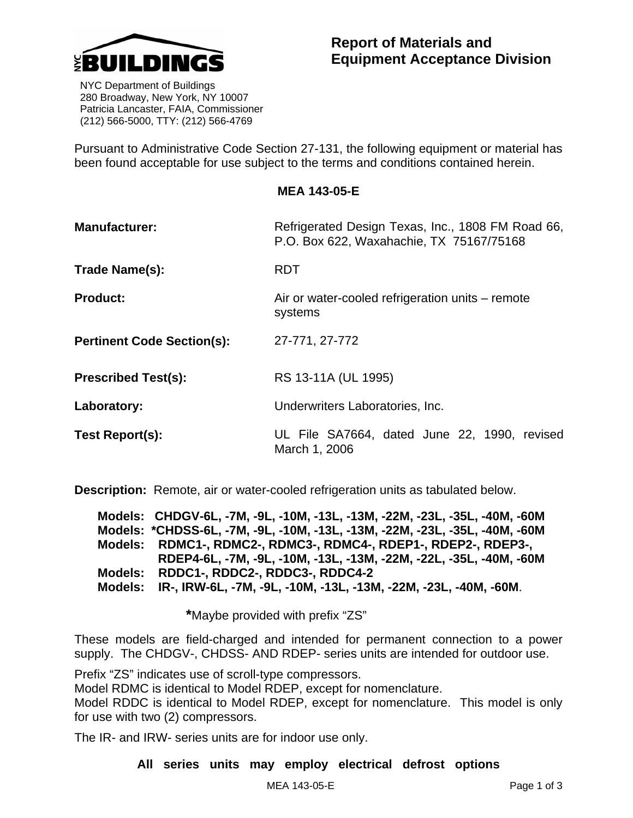

 NYC Department of Buildings 280 Broadway, New York, NY 10007 Patricia Lancaster, FAIA, Commissioner (212) 566-5000, TTY: (212) 566-4769

Pursuant to Administrative Code Section 27-131, the following equipment or material has been found acceptable for use subject to the terms and conditions contained herein.

## **MEA 143-05-E**

| <b>Manufacturer:</b>              | Refrigerated Design Texas, Inc., 1808 FM Road 66,<br>P.O. Box 622, Waxahachie, TX 75167/75168 |  |  |
|-----------------------------------|-----------------------------------------------------------------------------------------------|--|--|
| Trade Name(s):                    | <b>RDT</b>                                                                                    |  |  |
| <b>Product:</b>                   | Air or water-cooled refrigeration units – remote<br>systems                                   |  |  |
| <b>Pertinent Code Section(s):</b> | 27-771, 27-772                                                                                |  |  |
| <b>Prescribed Test(s):</b>        | RS 13-11A (UL 1995)                                                                           |  |  |
| Laboratory:                       | Underwriters Laboratories, Inc.                                                               |  |  |
| Test Report(s):                   | UL File SA7664, dated June 22, 1990, revised<br>March 1, 2006                                 |  |  |

**Description:** Remote, air or water-cooled refrigeration units as tabulated below.

**Models: CHDGV-6L, -7M, -9L, -10M, -13L, -13M, -22M, -23L, -35L, -40M, -60M Models: \*CHDSS-6L, -7M, -9L, -10M, -13L, -13M, -22M, -23L, -35L, -40M, -60M Models: RDMC1-, RDMC2-, RDMC3-, RDMC4-, RDEP1-, RDEP2-, RDEP3-, RDEP4-6L, -7M, -9L, -10M, -13L, -13M, -22M, -22L, -35L, -40M, -60M Models: RDDC1-, RDDC2-, RDDC3-, RDDC4-2 Models: IR-, IRW-6L, -7M, -9L, -10M, -13L, -13M, -22M, -23L, -40M, -60M**.

 **\***Maybe provided with prefix "ZS"

These models are field-charged and intended for permanent connection to a power supply. The CHDGV-, CHDSS- AND RDEP- series units are intended for outdoor use.

Prefix "ZS" indicates use of scroll-type compressors.

Model RDMC is identical to Model RDEP, except for nomenclature.

Model RDDC is identical to Model RDEP, except for nomenclature. This model is only for use with two (2) compressors.

The IR- and IRW- series units are for indoor use only.

**All series units may employ electrical defrost options**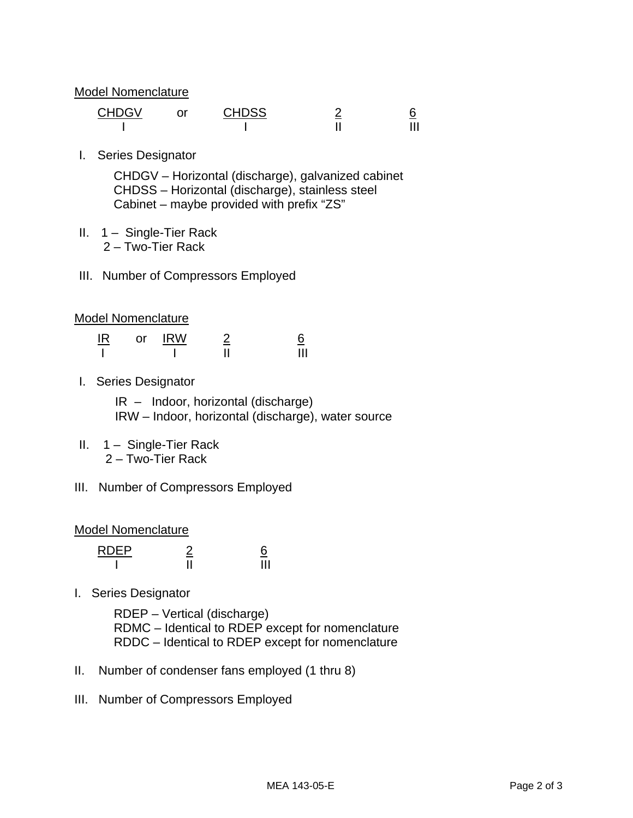Model Nomenclature

| CHDGV | or | <b>CHDSS</b> |  |
|-------|----|--------------|--|
|       |    |              |  |

I. Series Designator

 CHDGV – Horizontal (discharge), galvanized cabinet CHDSS – Horizontal (discharge), stainless steel Cabinet – maybe provided with prefix "ZS"

- II. 1 Single-Tier Rack 2 – Two-Tier Rack
- III. Number of Compressors Employed

## Model Nomenclature

| IR | or | <b>IRW</b> | <u>_</u> |
|----|----|------------|----------|
|    |    |            |          |

I. Series Designator

 IR – Indoor, horizontal (discharge) IRW – Indoor, horizontal (discharge), water source

- II.  $1 -$  Single-Tier Rack 2 – Two-Tier Rack
- III. Number of Compressors Employed

## Model Nomenclature

| <b>RDEP</b> | -- |
|-------------|----|
|             |    |

I. Series Designator

 RDEP – Vertical (discharge) RDMC – Identical to RDEP except for nomenclature RDDC – Identical to RDEP except for nomenclature

- II. Number of condenser fans employed (1 thru 8)
- III. Number of Compressors Employed